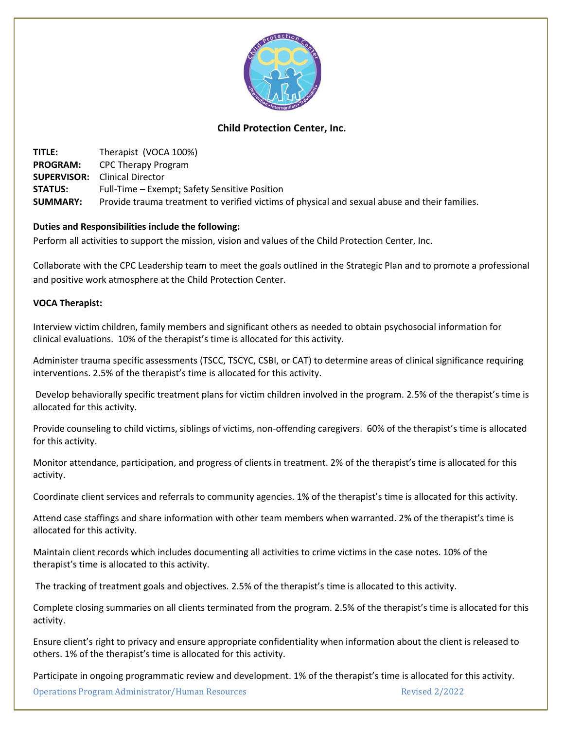

## **Child Protection Center, Inc.**

**TITLE:** Therapist (VOCA 100%) **PROGRAM:** CPC Therapy Program **SUPERVISOR:** Clinical Director **STATUS:** Full-Time – Exempt; Safety Sensitive Position **SUMMARY:** Provide trauma treatment to verified victims of physical and sexual abuse and their families.

## **Duties and Responsibilities include the following:**

Perform all activities to support the mission, vision and values of the Child Protection Center, Inc.

Collaborate with the CPC Leadership team to meet the goals outlined in the Strategic Plan and to promote a professional and positive work atmosphere at the Child Protection Center.

## **VOCA Therapist:**

Interview victim children, family members and significant others as needed to obtain psychosocial information for clinical evaluations. 10% of the therapist's time is allocated for this activity.

Administer trauma specific assessments (TSCC, TSCYC, CSBI, or CAT) to determine areas of clinical significance requiring interventions. 2.5% of the therapist's time is allocated for this activity.

Develop behaviorally specific treatment plans for victim children involved in the program. 2.5% of the therapist's time is allocated for this activity.

Provide counseling to child victims, siblings of victims, non-offending caregivers. 60% of the therapist's time is allocated for this activity.

Monitor attendance, participation, and progress of clients in treatment. 2% of the therapist's time is allocated for this activity.

Coordinate client services and referrals to community agencies. 1% of the therapist's time is allocated for this activity.

Attend case staffings and share information with other team members when warranted. 2% of the therapist's time is allocated for this activity.

Maintain client records which includes documenting all activities to crime victims in the case notes. 10% of the therapist's time is allocated to this activity.

The tracking of treatment goals and objectives. 2.5% of the therapist's time is allocated to this activity.

Complete closing summaries on all clients terminated from the program. 2.5% of the therapist's time is allocated for this activity.

Ensure client's right to privacy and ensure appropriate confidentiality when information about the client is released to others. 1% of the therapist's time is allocated for this activity.

Participate in ongoing programmatic review and development. 1% of the therapist's time is allocated for this activity.